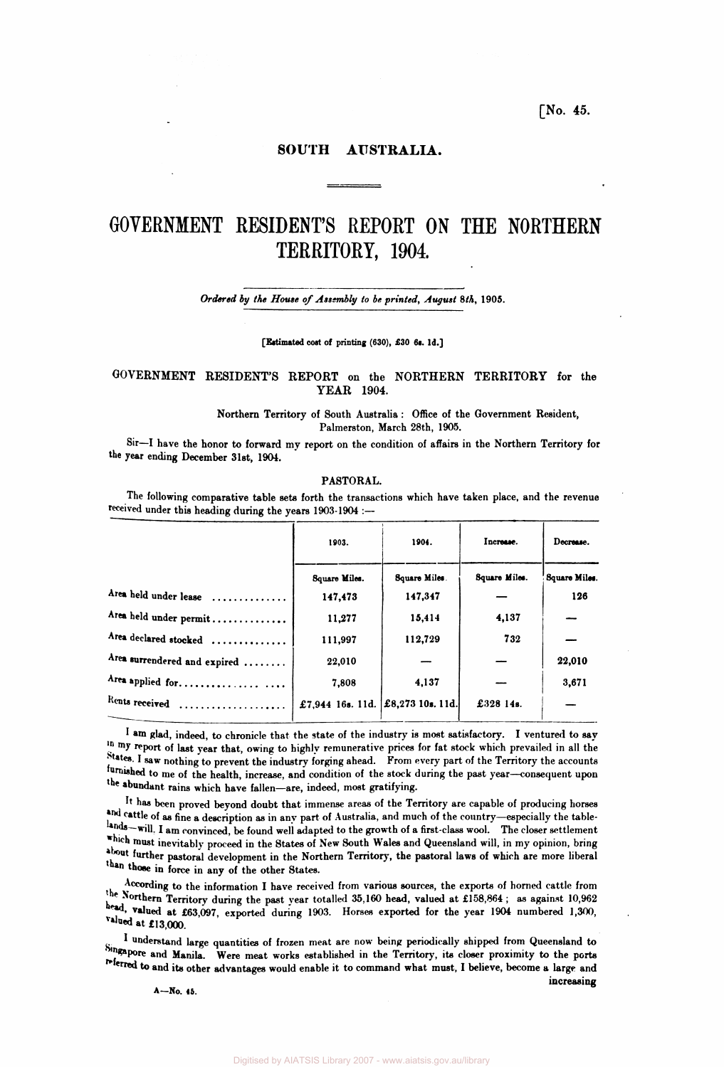**[No. 45.** 

**increasing** 

## **SOUTH AUSTRALIA.**

# **GOVERNMENT RESIDENT'S REPORT ON THE NORTHERN TERRITORY, 1904,**

*Ordered by the House of Assembly to be printed, August 8th,* **1905.** 

**[Estimated cost of printing (630), £30 6s. Id.]** 

## **GOVERNMENT RESIDENT'S REPORT on the NORTHERN TERRITORY for the YEAR 1904.**

**Northern Territory of South Australia: Office of the Government Resident, Palmerston, March 28th, 1905.** 

**Sir—I have the honor to forward my report on the condition of affairs in the Northern Territory for the year ending December 31st, 1904.** 

#### **PASTORAL.**

**The following comparative table sets forth the transactions which have taken place, and the revenue received under this heading during the years 1903-1904 :—** 

| 1904.<br>1903. |               | Increase.                          | Decrease.     |  |
|----------------|---------------|------------------------------------|---------------|--|
| Square Miles.  | Square Miles. | Square Miles.                      | Square Miles. |  |
| 147,473        | 147,347       |                                    | 126           |  |
| 11,277         | 15,414        | 4,137                              |               |  |
| 111.997        | 112,729       | 732                                |               |  |
| 22,010         |               |                                    | 22,010        |  |
| 7,808          | 4,137         |                                    | 3,671         |  |
|                |               | £328 14s.                          |               |  |
|                |               | £7,944 16s. 11d.  £8,273 10s. 11d. |               |  |

**I am glad, indeed, to chronicle that the state of the industry is most satisfactory. I ventured to say**  *my* **report of last year that, owing to highly remunerative prices for fat stock which prevailed in all the States, I saw nothing to prevent the industry forging ahead. From every part of the Territory the accounts furnished to me of the health, increase, and condition of the stock during the past year—consequent upon the abundant rains which have fallen—are, indeed, most gratifying.** 

**It has been proved beyond doubt that immense areas of the Territory are capable of producing horses and cattle of as fine a description as in any part of Australia, and much of the country—especially the table**lands—will. I am convinced, be found well adapted to the growth of a first-class wool. The closer settlement which must inevitably proceed in the States of New South Wales and Queensland will, in my opinion, bring **about further pastoral development in the Northern Territory, the pastoral laws of which are more liberal than those in force in any of the other States.** 

**According to the information I have received from various sources, the exports of horned cattle from the Northern Territory during the past year totalled 35,160 head, valued at £158,864 ; as against 10,962**  head, valued at £63,097, exported during 1903. Horses exported for the year 1904 numbered 1,300, **valued at £13,000.** 

**\* understand large quantities of frozen meat are now being periodically shipped from Queensland to**  Singapore and Manila. Were meat works established in the Territory, its closer proximity to the ports **referred to and its other advantages would enable it to command what must, I believe, become a large and** 

**A—No. 46.**